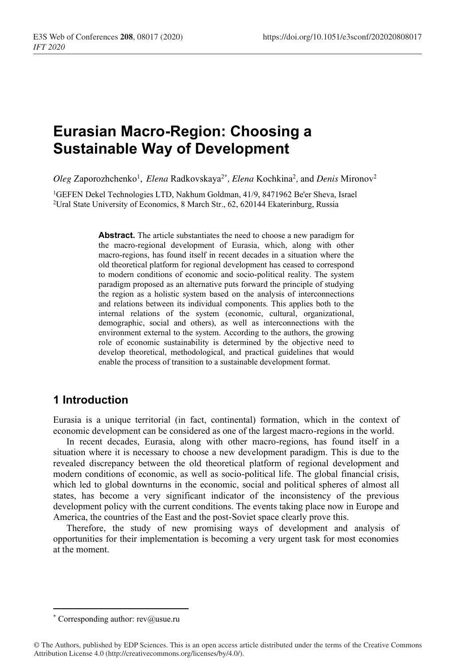# **Eurasian Macro-Region: Choosing a Sustainable Way of Development**

Oleg Zaporozhchenko<sup>1</sup>, Elena Radkovskaya<sup>2\*</sup>, Elena Kochkina<sup>2</sup>, and Denis Mironov<sup>2</sup>

<sup>1</sup>GEFEN Dekel Technologies LTD, Nakhum Goldman, 41/9, 8471962 Be'er Sheva, Israel <sup>2</sup>Ural State University of Economics, 8 March Str., 62, 620144 Ekaterinburg, Russia

**Abstract.** The article substantiates the need to choose a new paradigm for the macro-regional development of Eurasia, which, along with other macro-regions, has found itself in recent decades in a situation where the old theoretical platform for regional development has ceased to correspond to modern conditions of economic and socio-political reality. The system paradigm proposed as an alternative puts forward the principle of studying the region as a holistic system based on the analysis of interconnections and relations between its individual components. This applies both to the internal relations of the system (economic, cultural, organizational, demographic, social and others), as well as interconnections with the environment external to the system. According to the authors, the growing role of economic sustainability is determined by the objective need to develop theoretical, methodological, and practical guidelines that would enable the process of transition to a sustainable development format.

## **1 Introduction**

Eurasia is a unique territorial (in fact, continental) formation, which in the context of economic development can be considered as one of the largest macro-regions in the world.

In recent decades, Eurasia, along with other macro-regions, has found itself in a situation where it is necessary to choose a new development paradigm. This is due to the revealed discrepancy between the old theoretical platform of regional development and modern conditions of economic, as well as socio-political life. The global financial crisis, which led to global downturns in the economic, social and political spheres of almost all states, has become a very significant indicator of the inconsistency of the previous development policy with the current conditions. The events taking place now in Europe and America, the countries of the East and the post-Soviet space clearly prove this.

Therefore, the study of new promising ways of development and analysis of opportunities for their implementation is becoming a very urgent task for most economies at the moment.

<sup>\*</sup> Corresponding author:  $rev@$ usue.ru

<sup>©</sup> The Authors, published by EDP Sciences. This is an open access article distributed under the terms of the Creative Commons Attribution License 4.0 (http://creativecommons.org/licenses/by/4.0/).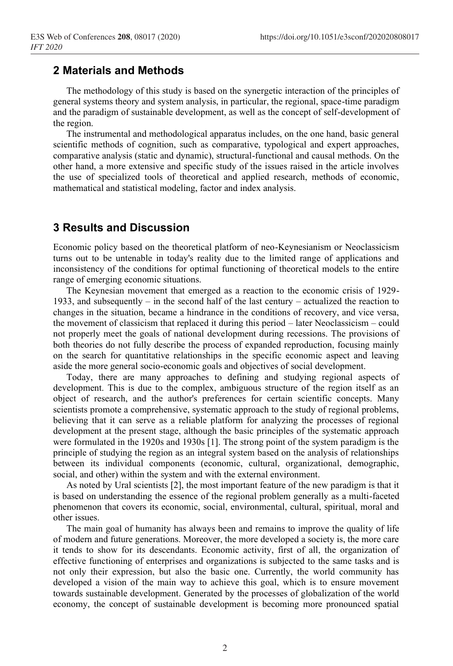#### **2 Materials and Methods**

The methodology of this study is based on the synergetic interaction of the principles of general systems theory and system analysis, in particular, the regional, space-time paradigm and the paradigm of sustainable development, as well as the concept of self-development of the region.

The instrumental and methodological apparatus includes, on the one hand, basic general scientific methods of cognition, such as comparative, typological and expert approaches, comparative analysis (static and dynamic), structural-functional and causal methods. On the other hand, a more extensive and specific study of the issues raised in the article involves the use of specialized tools of theoretical and applied research, methods of economic, mathematical and statistical modeling, factor and index analysis.

## **3 Results and Discussion**

Economic policy based on the theoretical platform of neo-Keynesianism or Neoclassicism turns out to be untenable in today's reality due to the limited range of applications and inconsistency of the conditions for optimal functioning of theoretical models to the entire range of emerging economic situations.

The Keynesian movement that emerged as a reaction to the economic crisis of 1929- 1933, and subsequently – in the second half of the last century – actualized the reaction to changes in the situation, became a hindrance in the conditions of recovery, and vice versa, the movement of classicism that replaced it during this period – later Neoclassicism – could not properly meet the goals of national development during recessions. The provisions of both theories do not fully describe the process of expanded reproduction, focusing mainly on the search for quantitative relationships in the specific economic aspect and leaving aside the more general socio-economic goals and objectives of social development.

Today, there are many approaches to defining and studying regional aspects of development. This is due to the complex, ambiguous structure of the region itself as an object of research, and the author's preferences for certain scientific concepts. Many scientists promote a comprehensive, systematic approach to the study of regional problems, believing that it can serve as a reliable platform for analyzing the processes of regional development at the present stage, although the basic principles of the systematic approach were formulated in the 1920s and 1930s [1]. The strong point of the system paradigm is the principle of studying the region as an integral system based on the analysis of relationships between its individual components (economic, cultural, organizational, demographic, social, and other) within the system and with the external environment.

As noted by Ural scientists [2], the most important feature of the new paradigm is that it is based on understanding the essence of the regional problem generally as a multi-faceted phenomenon that covers its economic, social, environmental, cultural, spiritual, moral and other issues.

The main goal of humanity has always been and remains to improve the quality of life of modern and future generations. Moreover, the more developed a society is, the more care it tends to show for its descendants. Economic activity, first of all, the organization of effective functioning of enterprises and organizations is subjected to the same tasks and is not only their expression, but also the basic one. Currently, the world community has developed a vision of the main way to achieve this goal, which is to ensure movement towards sustainable development. Generated by the processes of globalization of the world economy, the concept of sustainable development is becoming more pronounced spatial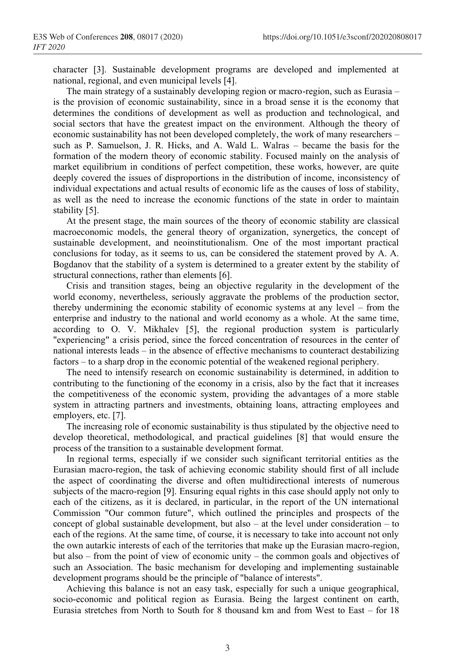character [3]. Sustainable development programs are developed and implemented at national, regional, and even municipal levels [4].

The main strategy of a sustainably developing region or macro-region, such as Eurasia – is the provision of economic sustainability, since in a broad sense it is the economy that determines the conditions of development as well as production and technological, and social sectors that have the greatest impact on the environment. Although the theory of economic sustainability has not been developed completely, the work of many researchers – such as P. Samuelson, J. R. Hicks, and A. Wald L. Walras – became the basis for the formation of the modern theory of economic stability. Focused mainly on the analysis of market equilibrium in conditions of perfect competition, these works, however, are quite deeply covered the issues of disproportions in the distribution of income, inconsistency of individual expectations and actual results of economic life as the causes of loss of stability, as well as the need to increase the economic functions of the state in order to maintain stability [5].

At the present stage, the main sources of the theory of economic stability are classical macroeconomic models, the general theory of organization, synergetics, the concept of sustainable development, and neoinstitutionalism. One of the most important practical conclusions for today, as it seems to us, can be considered the statement proved by A. A. Bogdanov that the stability of a system is determined to a greater extent by the stability of structural connections, rather than elements [6].

Crisis and transition stages, being an objective regularity in the development of the world economy, nevertheless, seriously aggravate the problems of the production sector, thereby undermining the economic stability of economic systems at any level – from the enterprise and industry to the national and world economy as a whole. At the same time, according to O. V. Mikhalev [5], the regional production system is particularly "experiencing" a crisis period, since the forced concentration of resources in the center of national interests leads – in the absence of effective mechanisms to counteract destabilizing factors – to a sharp drop in the economic potential of the weakened regional periphery.

The need to intensify research on economic sustainability is determined, in addition to contributing to the functioning of the economy in a crisis, also by the fact that it increases the competitiveness of the economic system, providing the advantages of a more stable system in attracting partners and investments, obtaining loans, attracting employees and employers, etc. [7].

The increasing role of economic sustainability is thus stipulated by the objective need to develop theoretical, methodological, and practical guidelines [8] that would ensure the process of the transition to a sustainable development format.

In regional terms, especially if we consider such significant territorial entities as the Eurasian macro-region, the task of achieving economic stability should first of all include the aspect of coordinating the diverse and often multidirectional interests of numerous subjects of the macro-region [9]. Ensuring equal rights in this case should apply not only to each of the citizens, as it is declared, in particular, in the report of the UN international Commission "Our common future", which outlined the principles and prospects of the concept of global sustainable development, but also – at the level under consideration – to each of the regions. At the same time, of course, it is necessary to take into account not only the own autarkic interests of each of the territories that make up the Eurasian macro-region, but also – from the point of view of economic unity – the common goals and objectives of such an Association. The basic mechanism for developing and implementing sustainable development programs should be the principle of "balance of interests".

Achieving this balance is not an easy task, especially for such a unique geographical, socio-economic and political region as Eurasia. Being the largest continent on earth, Eurasia stretches from North to South for 8 thousand km and from West to East – for 18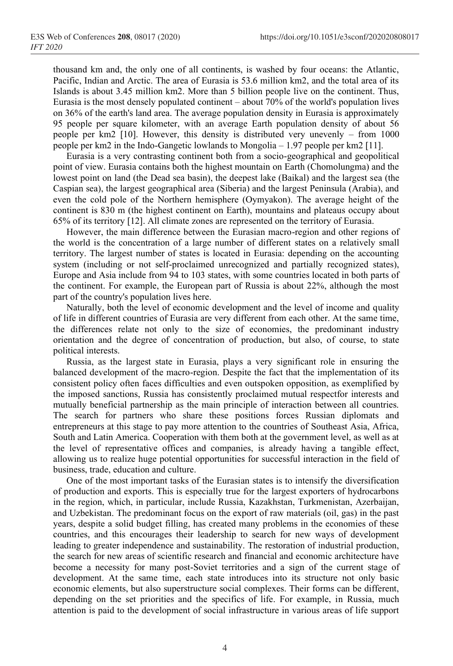thousand km and, the only one of all continents, is washed by four oceans: the Atlantic, Pacific, Indian and Arctic. The area of Eurasia is 53.6 million km2, and the total area of its Islands is about 3.45 million km2. More than 5 billion people live on the continent. Thus, Eurasia is the most densely populated continent – about 70% of the world's population lives on 36% of the earth's land area. The average population density in Eurasia is approximately 95 people per square kilometer, with an average Earth population density of about 56 people per km2 [10]. However, this density is distributed very unevenly – from 1000 people per km2 in the Indo-Gangetic lowlands to Mongolia – 1.97 people per km2 [11].

Eurasia is a very contrasting continent both from a socio-geographical and geopolitical point of view. Eurasia contains both the highest mountain on Earth (Chomolungma) and the lowest point on land (the Dead sea basin), the deepest lake (Baikal) and the largest sea (the Caspian sea), the largest geographical area (Siberia) and the largest Peninsula (Arabia), and even the cold pole of the Northern hemisphere (Oymyakon). The average height of the continent is 830 m (the highest continent on Earth), mountains and plateaus occupy about 65% of its territory [12]. All climate zones are represented on the territory of Eurasia.

However, the main difference between the Eurasian macro-region and other regions of the world is the concentration of a large number of different states on a relatively small territory. The largest number of states is located in Eurasia: depending on the accounting system (including or not self-proclaimed unrecognized and partially recognized states), Europe and Asia include from 94 to 103 states, with some countries located in both parts of the continent. For example, the European part of Russia is about 22%, although the most part of the country's population lives here.

Naturally, both the level of economic development and the level of income and quality of life in different countries of Eurasia are very different from each other. At the same time, the differences relate not only to the size of economies, the predominant industry orientation and the degree of concentration of production, but also, of course, to state political interests.

Russia, as the largest state in Eurasia, plays a very significant role in ensuring the balanced development of the macro-region. Despite the fact that the implementation of its consistent policy often faces difficulties and even outspoken opposition, as exemplified by the imposed sanctions, Russia has consistently proclaimed mutual respectfor interests and mutually beneficial partnership as the main principle of interaction between all countries. The search for partners who share these positions forces Russian diplomats and entrepreneurs at this stage to pay more attention to the countries of Southeast Asia, Africa, South and Latin America. Cooperation with them both at the government level, as well as at the level of representative offices and companies, is already having a tangible effect, allowing us to realize huge potential opportunities for successful interaction in the field of business, trade, education and culture.

One of the most important tasks of the Eurasian states is to intensify the diversification of production and exports. This is especially true for the largest exporters of hydrocarbons in the region, which, in particular, include Russia, Kazakhstan, Turkmenistan, Azerbaijan, and Uzbekistan. The predominant focus on the export of raw materials (oil, gas) in the past years, despite a solid budget filling, has created many problems in the economies of these countries, and this encourages their leadership to search for new ways of development leading to greater independence and sustainability. The restoration of industrial production, the search for new areas of scientific research and financial and economic architecture have become a necessity for many post-Soviet territories and a sign of the current stage of development. At the same time, each state introduces into its structure not only basic economic elements, but also superstructure social complexes. Their forms can be different, depending on the set priorities and the specifics of life. For example, in Russia, much attention is paid to the development of social infrastructure in various areas of life support